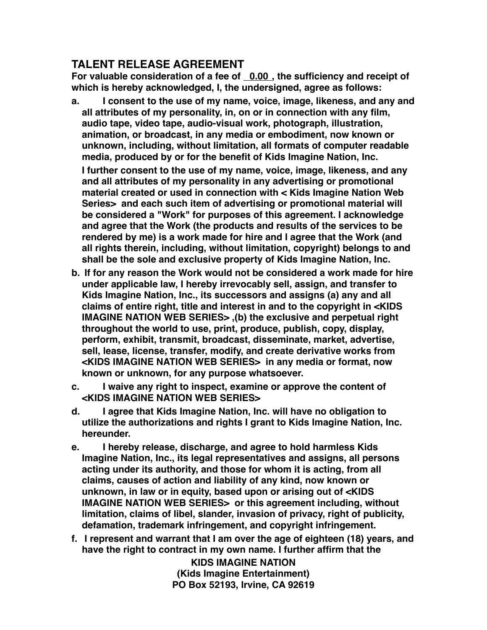## **TALENT RELEASE AGREEMENT**

For valuable consideration of a fee of 0.00, the sufficiency and receipt of **which is hereby acknowledged, I, the undersigned, agree as follows:**

**a. I consent to the use of my name, voice, image, likeness, and any and all attributes of my personality, in, on or in connection with any film, audio tape, video tape, audio-visual work, photograph, illustration, animation, or broadcast, in any media or embodiment, now known or unknown, including, without limitation, all formats of computer readable media, produced by or for the benefit of Kids Imagine Nation, Inc.**

**I further consent to the use of my name, voice, image, likeness, and any and all attributes of my personality in any advertising or promotional material created or used in connection with < Kids Imagine Nation Web Series> and each such item of advertising or promotional material will be considered a "Work" for purposes of this agreement. I acknowledge and agree that the Work (the products and results of the services to be rendered by me) is a work made for hire and I agree that the Work (and all rights therein, including, without limitation, copyright) belongs to and shall be the sole and exclusive property of Kids Imagine Nation, Inc.**

- **b. If for any reason the Work would not be considered a work made for hire under applicable law, I hereby irrevocably sell, assign, and transfer to Kids Imagine Nation, Inc., its successors and assigns (a) any and all claims of entire right, title and interest in and to the copyright in <KIDS IMAGINE NATION WEB SERIES> ,(b) the exclusive and perpetual right throughout the world to use, print, produce, publish, copy, display, perform, exhibit, transmit, broadcast, disseminate, market, advertise, sell, lease, license, transfer, modify, and create derivative works from <KIDS IMAGINE NATION WEB SERIES> in any media or format, now known or unknown, for any purpose whatsoever.**
- **c. I waive any right to inspect, examine or approve the content of <KIDS IMAGINE NATION WEB SERIES>**
- **d. I agree that Kids Imagine Nation, Inc. will have no obligation to utilize the authorizations and rights I grant to Kids Imagine Nation, Inc. hereunder.**
- **e. I hereby release, discharge, and agree to hold harmless Kids Imagine Nation, Inc., its legal representatives and assigns, all persons acting under its authority, and those for whom it is acting, from all claims, causes of action and liability of any kind, now known or unknown, in law or in equity, based upon or arising out of <KIDS IMAGINE NATION WEB SERIES> or this agreement including, without limitation, claims of libel, slander, invasion of privacy, right of publicity, defamation, trademark infringement, and copyright infringement.**
- **f. I represent and warrant that I am over the age of eighteen (18) years, and have the right to contract in my own name. I further affirm that the**

**KIDS IMAGINE NATION (Kids Imagine Entertainment) PO Box 52193, Irvine, CA 92619**